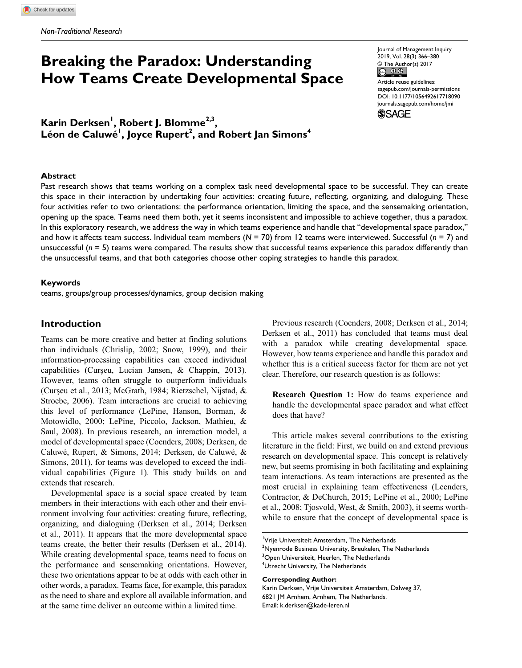# **Breaking the Paradox: Understanding How Teams Create Developmental Space**

**Karin Derksen<sup>'</sup>, Robert J. Blomme<sup>2,3</sup>,**  $\mathsf{L}$ éon de Caluwé<sup>'</sup>, Joyce Rupert<sup>2</sup>, and Robert Jan Simons<sup>4</sup>

### **Abstract**

Journal of Management Inquiry 2019, Vol. 28(3) 366–380 © The Author(s) 2017  $\odot$   $\odot$   $\odot$ 

**Article reuse guidelines:** Article reuse guidennes.<br>[sagepub.com/journals-permissions](https://us.sagepub.com/en-us/journals-permissions) https://doi.org/10.1177/1056492617718090 jmi.sagepub.com DOI: 10.1177/1056492617718090 [journals.sagepub.com/home/jmi](https://journals.sagepub.com/home/jmi) **SSAGE** 

Past research shows that teams working on a complex task need developmental space to be successful. They can create this space in their interaction by undertaking four activities: creating future, reflecting, organizing, and dialoguing. These four activities refer to two orientations: the performance orientation, limiting the space, and the sensemaking orientation, opening up the space. Teams need them both, yet it seems inconsistent and impossible to achieve together, thus a paradox. In this exploratory research, we address the way in which teams experience and handle that "developmental space paradox," and how it affects team success. Individual team members (*N* = 70) from 12 teams were interviewed. Successful (*n* = 7) and unsuccessful (*n* = 5) teams were compared. The results show that successful teams experience this paradox differently than the unsuccessful teams, and that both categories choose other coping strategies to handle this paradox.

#### **Keywords**

teams, groups/group processes/dynamics, group decision making

# **Introduction**

Teams can be more creative and better at finding solutions than individuals (Chrislip, 2002; Snow, 1999), and their information-processing capabilities can exceed individual capabilities (Curşeu, Lucian Jansen, & Chappin, 2013). However, teams often struggle to outperform individuals (Curşeu et al., 2013; McGrath, 1984; Rietzschel, Nijstad, & Stroebe, 2006). Team interactions are crucial to achieving this level of performance (LePine, Hanson, Borman, & Motowidlo, 2000; LePine, Piccolo, Jackson, Mathieu, & Saul, 2008). In previous research, an interaction model, a model of developmental space (Coenders, 2008; Derksen, de Caluwé, Rupert, & Simons, 2014; Derksen, de Caluwé, & Simons, 2011), for teams was developed to exceed the individual capabilities (Figure 1). This study builds on and extends that research.

Developmental space is a social space created by team members in their interactions with each other and their environment involving four activities: creating future, reflecting, organizing, and dialoguing (Derksen et al., 2014; Derksen et al., 2011). It appears that the more developmental space teams create, the better their results (Derksen et al., 2014). While creating developmental space, teams need to focus on the performance and sensemaking orientations. However, these two orientations appear to be at odds with each other in other words, a paradox. Teams face, for example, this paradox as the need to share and explore all available information, and at the same time deliver an outcome within a limited time.

Previous research (Coenders, 2008; Derksen et al., 2014; Derksen et al., 2011) has concluded that teams must deal with a paradox while creating developmental space. However, how teams experience and handle this paradox and whether this is a critical success factor for them are not yet clear. Therefore, our research question is as follows:

**Research Question 1:** How do teams experience and handle the developmental space paradox and what effect does that have?

This article makes several contributions to the existing literature in the field: First, we build on and extend previous research on developmental space. This concept is relatively new, but seems promising in both facilitating and explaining team interactions. As team interactions are presented as the most crucial in explaining team effectiveness (Leenders, Contractor, & DeChurch, 2015; LePine et al., 2000; LePine et al., 2008; Tjosvold, West, & Smith, 2003), it seems worthwhile to ensure that the concept of developmental space is

#### **Corresponding Author:**

Karin Derksen, Vrije Universiteit Amsterdam, Dalweg 37, 6821 JM Arnhem, Arnhem, The Netherlands. Email: [k.derksen@kade-leren.nl](mailto:k.derksen@kade-leren.nl)

<sup>&</sup>lt;sup>1</sup>Vrije Universiteit Amsterdam, The Netherlands  $^2$ Nyenrode Business University, Breukelen, The Netherlands  $^3$ Open Universiteit, Heerlen, The Netherlands 4 Utrecht University, The Netherlands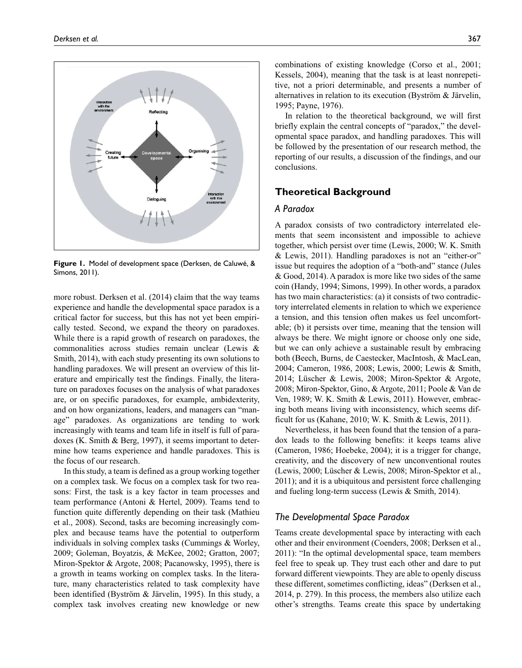

**Figure 1.** Model of development space (Derksen, de Caluwé, & Simons, 2011).

more robust. Derksen et al. (2014) claim that the way teams experience and handle the developmental space paradox is a critical factor for success, but this has not yet been empirically tested. Second, we expand the theory on paradoxes. While there is a rapid growth of research on paradoxes, the commonalities across studies remain unclear (Lewis & Smith, 2014), with each study presenting its own solutions to handling paradoxes. We will present an overview of this literature and empirically test the findings. Finally, the literature on paradoxes focuses on the analysis of what paradoxes are, or on specific paradoxes, for example, ambidexterity, and on how organizations, leaders, and managers can "manage" paradoxes. As organizations are tending to work increasingly with teams and team life in itself is full of paradoxes (K. Smith & Berg, 1997), it seems important to determine how teams experience and handle paradoxes. This is the focus of our research.

In this study, a team is defined as a group working together on a complex task. We focus on a complex task for two reasons: First, the task is a key factor in team processes and team performance (Antoni & Hertel, 2009). Teams tend to function quite differently depending on their task (Mathieu et al., 2008). Second, tasks are becoming increasingly complex and because teams have the potential to outperform individuals in solving complex tasks (Cummings & Worley, 2009; Goleman, Boyatzis, & McKee, 2002; Gratton, 2007; Miron-Spektor & Argote, 2008; Pacanowsky, 1995), there is a growth in teams working on complex tasks. In the literature, many characteristics related to task complexity have been identified (Byström & Järvelin, 1995). In this study, a complex task involves creating new knowledge or new

combinations of existing knowledge (Corso et al., 2001; Kessels, 2004), meaning that the task is at least nonrepetitive, not a priori determinable, and presents a number of alternatives in relation to its execution (Byström & Järvelin, 1995; Payne, 1976).

In relation to the theoretical background, we will first briefly explain the central concepts of "paradox," the developmental space paradox, and handling paradoxes. This will be followed by the presentation of our research method, the reporting of our results, a discussion of the findings, and our conclusions.

# **Theoretical Background**

# *A Paradox*

A paradox consists of two contradictory interrelated elements that seem inconsistent and impossible to achieve together, which persist over time (Lewis, 2000; W. K. Smith & Lewis, 2011). Handling paradoxes is not an "either-or" issue but requires the adoption of a "both-and" stance (Jules & Good, 2014). A paradox is more like two sides of the same coin (Handy, 1994; Simons, 1999). In other words, a paradox has two main characteristics: (a) it consists of two contradictory interrelated elements in relation to which we experience a tension, and this tension often makes us feel uncomfortable; (b) it persists over time, meaning that the tension will always be there. We might ignore or choose only one side, but we can only achieve a sustainable result by embracing both (Beech, Burns, de Caestecker, MacIntosh, & MacLean, 2004; Cameron, 1986, 2008; Lewis, 2000; Lewis & Smith, 2014; Lüscher & Lewis, 2008; Miron-Spektor & Argote, 2008; Miron-Spektor, Gino, & Argote, 2011; Poole & Van de Ven, 1989; W. K. Smith & Lewis, 2011). However, embracing both means living with inconsistency, which seems difficult for us (Kahane, 2010; W. K. Smith & Lewis, 2011).

Nevertheless, it has been found that the tension of a paradox leads to the following benefits: it keeps teams alive (Cameron, 1986; Hoebeke, 2004); it is a trigger for change, creativity, and the discovery of new unconventional routes (Lewis, 2000; Lüscher & Lewis, 2008; Miron-Spektor et al., 2011); and it is a ubiquitous and persistent force challenging and fueling long-term success (Lewis & Smith, 2014).

# *The Developmental Space Paradox*

Teams create developmental space by interacting with each other and their environment (Coenders, 2008; Derksen et al., 2011): "In the optimal developmental space, team members feel free to speak up. They trust each other and dare to put forward different viewpoints. They are able to openly discuss these different, sometimes conflicting, ideas" (Derksen et al., 2014, p. 279). In this process, the members also utilize each other's strengths. Teams create this space by undertaking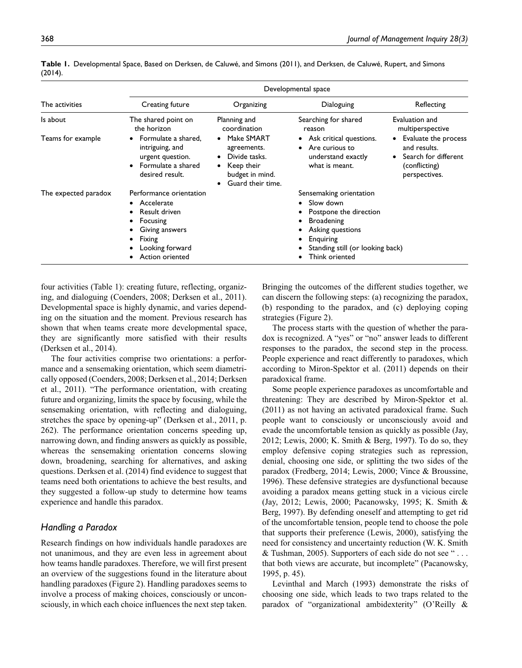|                      | Developmental space                                                                                                                    |                                                                                                                 |                                                                                                                                                                            |                                                                                                  |  |
|----------------------|----------------------------------------------------------------------------------------------------------------------------------------|-----------------------------------------------------------------------------------------------------------------|----------------------------------------------------------------------------------------------------------------------------------------------------------------------------|--------------------------------------------------------------------------------------------------|--|
| The activities       | Creating future                                                                                                                        | Organizing                                                                                                      | Dialoguing                                                                                                                                                                 | Reflecting                                                                                       |  |
| Is about             | The shared point on<br>the horizon                                                                                                     | Planning and<br>coordination                                                                                    | Searching for shared<br>reason                                                                                                                                             | Evaluation and<br>multiperspective                                                               |  |
| Teams for example    | Formulate a shared,<br>$\bullet$<br>intriguing, and<br>urgent question.<br>Formulate a shared<br>$\bullet$<br>desired result.          | • Make SMART<br>agreements.<br>Divide tasks.<br>Keep their<br>$\bullet$<br>budget in mind.<br>Guard their time. | Ask critical questions.<br>٠<br>Are curious to<br>٠<br>understand exactly<br>what is meant.                                                                                | • Evaluate the process<br>and results.<br>Search for different<br>(conflicting)<br>perspectives. |  |
| The expected paradox | Performance orientation<br>• Accelerate<br>Result driven<br>Focusing<br>Giving answers<br>Fixing<br>Looking forward<br>Action oriented |                                                                                                                 | Sensemaking orientation<br>Slow down<br>Postpone the direction<br><b>Broadening</b><br>Asking questions<br>Enquiring<br>Standing still (or looking back)<br>Think oriented |                                                                                                  |  |

**Table 1.** Developmental Space, Based on Derksen, de Caluwé, and Simons (2011), and Derksen, de Caluwé, Rupert, and Simons (2014).

four activities (Table 1): creating future, reflecting, organizing, and dialoguing (Coenders, 2008; Derksen et al., 2011). Developmental space is highly dynamic, and varies depending on the situation and the moment. Previous research has shown that when teams create more developmental space, they are significantly more satisfied with their results (Derksen et al., 2014).

The four activities comprise two orientations: a performance and a sensemaking orientation, which seem diametrically opposed (Coenders, 2008; Derksen et al., 2014; Derksen et al., 2011). "The performance orientation, with creating future and organizing, limits the space by focusing, while the sensemaking orientation, with reflecting and dialoguing, stretches the space by opening-up" (Derksen et al., 2011, p. 262). The performance orientation concerns speeding up, narrowing down, and finding answers as quickly as possible, whereas the sensemaking orientation concerns slowing down, broadening, searching for alternatives, and asking questions. Derksen et al. (2014) find evidence to suggest that teams need both orientations to achieve the best results, and they suggested a follow-up study to determine how teams experience and handle this paradox.

# *Handling a Paradox*

Research findings on how individuals handle paradoxes are not unanimous, and they are even less in agreement about how teams handle paradoxes. Therefore, we will first present an overview of the suggestions found in the literature about handling paradoxes (Figure 2). Handling paradoxes seems to involve a process of making choices, consciously or unconsciously, in which each choice influences the next step taken.

Bringing the outcomes of the different studies together, we can discern the following steps: (a) recognizing the paradox, (b) responding to the paradox, and (c) deploying coping strategies (Figure 2).

The process starts with the question of whether the paradox is recognized. A "yes" or "no" answer leads to different responses to the paradox, the second step in the process. People experience and react differently to paradoxes, which according to Miron-Spektor et al. (2011) depends on their paradoxical frame.

Some people experience paradoxes as uncomfortable and threatening: They are described by Miron-Spektor et al. (2011) as not having an activated paradoxical frame. Such people want to consciously or unconsciously avoid and evade the uncomfortable tension as quickly as possible (Jay, 2012; Lewis, 2000; K. Smith & Berg, 1997). To do so, they employ defensive coping strategies such as repression, denial, choosing one side, or splitting the two sides of the paradox (Fredberg, 2014; Lewis, 2000; Vince & Broussine, 1996). These defensive strategies are dysfunctional because avoiding a paradox means getting stuck in a vicious circle (Jay, 2012; Lewis, 2000; Pacanowsky, 1995; K. Smith & Berg, 1997). By defending oneself and attempting to get rid of the uncomfortable tension, people tend to choose the pole that supports their preference (Lewis, 2000), satisfying the need for consistency and uncertainty reduction (W. K. Smith & Tushman, 2005). Supporters of each side do not see " . . . that both views are accurate, but incomplete" (Pacanowsky, 1995, p. 45).

Levinthal and March (1993) demonstrate the risks of choosing one side, which leads to two traps related to the paradox of "organizational ambidexterity" (O'Reilly &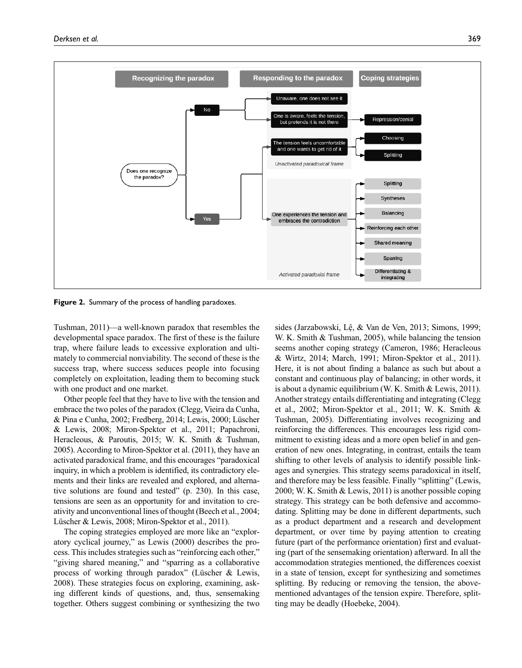

**Figure 2.** Summary of the process of handling paradoxes.

Tushman, 2011)—a well-known paradox that resembles the developmental space paradox. The first of these is the failure trap, where failure leads to excessive exploration and ultimately to commercial nonviability. The second of these is the success trap, where success seduces people into focusing completely on exploitation, leading them to becoming stuck with one product and one market.

Other people feel that they have to live with the tension and embrace the two poles of the paradox (Clegg, Vieira da Cunha, & Pina e Cunha, 2002; Fredberg, 2014; Lewis, 2000; Lüscher & Lewis, 2008; Miron-Spektor et al., 2011; Papachroni, Heracleous, & Paroutis, 2015; W. K. Smith & Tushman, 2005). According to Miron-Spektor et al. (2011), they have an activated paradoxical frame, and this encourages "paradoxical inquiry, in which a problem is identified, its contradictory elements and their links are revealed and explored, and alternative solutions are found and tested" (p. 230). In this case, tensions are seen as an opportunity for and invitation to creativity and unconventional lines of thought (Beech et al., 2004; Lüscher & Lewis, 2008; Miron-Spektor et al., 2011).

The coping strategies employed are more like an "exploratory cyclical journey," as Lewis (2000) describes the process. This includes strategies such as "reinforcing each other," "giving shared meaning," and "sparring as a collaborative process of working through paradox" (Lüscher & Lewis, 2008). These strategies focus on exploring, examining, asking different kinds of questions, and, thus, sensemaking together. Others suggest combining or synthesizing the two

sides (Jarzabowski, Lệ, & Van de Ven, 2013; Simons, 1999; W. K. Smith & Tushman, 2005), while balancing the tension seems another coping strategy (Cameron, 1986; Heracleous & Wirtz, 2014; March, 1991; Miron-Spektor et al., 2011). Here, it is not about finding a balance as such but about a constant and continuous play of balancing; in other words, it is about a dynamic equilibrium (W. K. Smith & Lewis, 2011). Another strategy entails differentiating and integrating (Clegg et al., 2002; Miron-Spektor et al., 2011; W. K. Smith & Tushman, 2005). Differentiating involves recognizing and reinforcing the differences. This encourages less rigid commitment to existing ideas and a more open belief in and generation of new ones. Integrating, in contrast, entails the team shifting to other levels of analysis to identify possible linkages and synergies. This strategy seems paradoxical in itself, and therefore may be less feasible. Finally "splitting" (Lewis, 2000; W. K. Smith & Lewis, 2011) is another possible coping strategy. This strategy can be both defensive and accommodating. Splitting may be done in different departments, such as a product department and a research and development department, or over time by paying attention to creating future (part of the performance orientation) first and evaluating (part of the sensemaking orientation) afterward. In all the accommodation strategies mentioned, the differences coexist in a state of tension, except for synthesizing and sometimes splitting. By reducing or removing the tension, the abovementioned advantages of the tension expire. Therefore, splitting may be deadly (Hoebeke, 2004).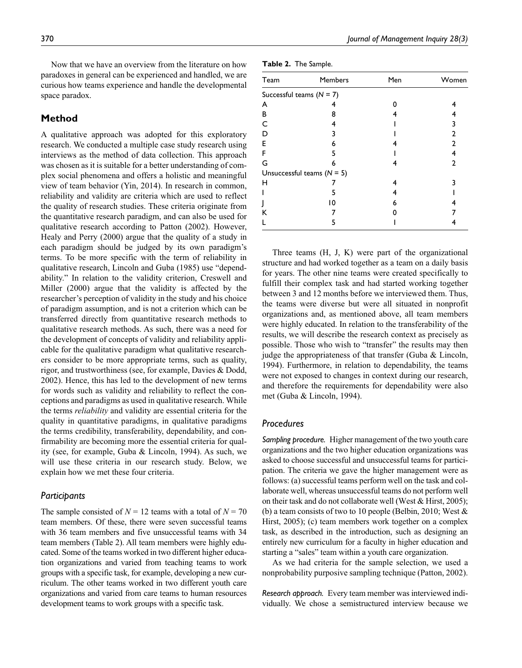Now that we have an overview from the literature on how paradoxes in general can be experienced and handled, we are curious how teams experience and handle the developmental space paradox.

# **Method**

A qualitative approach was adopted for this exploratory research. We conducted a multiple case study research using interviews as the method of data collection. This approach was chosen as it is suitable for a better understanding of complex social phenomena and offers a holistic and meaningful view of team behavior (Yin, 2014). In research in common, reliability and validity are criteria which are used to reflect the quality of research studies. These criteria originate from the quantitative research paradigm, and can also be used for qualitative research according to Patton (2002). However, Healy and Perry (2000) argue that the quality of a study in each paradigm should be judged by its own paradigm's terms. To be more specific with the term of reliability in qualitative research, Lincoln and Guba (1985) use "dependability." In relation to the validity criterion, Creswell and Miller (2000) argue that the validity is affected by the researcher's perception of validity in the study and his choice of paradigm assumption, and is not a criterion which can be transferred directly from quantitative research methods to qualitative research methods. As such, there was a need for the development of concepts of validity and reliability applicable for the qualitative paradigm what qualitative researchers consider to be more appropriate terms, such as quality, rigor, and trustworthiness (see, for example, Davies & Dodd, 2002). Hence, this has led to the development of new terms for words such as validity and reliability to reflect the conceptions and paradigms as used in qualitative research. While the terms *reliability* and validity are essential criteria for the quality in quantitative paradigms, in qualitative paradigms the terms credibility, transferability, dependability, and confirmability are becoming more the essential criteria for quality (see, for example, Guba & Lincoln, 1994). As such, we will use these criteria in our research study. Below, we explain how we met these four criteria.

### *Participants*

The sample consisted of  $N = 12$  teams with a total of  $N = 70$ team members. Of these, there were seven successful teams with 36 team members and five unsuccessful teams with 34 team members (Table 2). All team members were highly educated. Some of the teams worked in two different higher education organizations and varied from teaching teams to work groups with a specific task, for example, developing a new curriculum. The other teams worked in two different youth care organizations and varied from care teams to human resources development teams to work groups with a specific task.

**Table 2.** The Sample.

| Team | Members                      | Men | Women |
|------|------------------------------|-----|-------|
|      | Successful teams $(N = 7)$   |     |       |
| A    |                              |     |       |
| В    | 8                            |     |       |
| C    |                              |     | 3     |
| D    |                              |     | 7     |
| Е    | 6                            |     | 2     |
| F    |                              |     |       |
| G    |                              |     | 7     |
|      | Unsuccessful teams $(N = 5)$ |     |       |
| н    |                              |     |       |
|      |                              |     |       |
|      | 10                           | 6   |       |
| κ    |                              |     |       |
|      |                              |     |       |

Three teams (H, J, K) were part of the organizational structure and had worked together as a team on a daily basis for years. The other nine teams were created specifically to fulfill their complex task and had started working together between 3 and 12 months before we interviewed them. Thus, the teams were diverse but were all situated in nonprofit organizations and, as mentioned above, all team members were highly educated. In relation to the transferability of the results, we will describe the research context as precisely as possible. Those who wish to "transfer" the results may then judge the appropriateness of that transfer (Guba & Lincoln, 1994). Furthermore, in relation to dependability, the teams were not exposed to changes in context during our research, and therefore the requirements for dependability were also met (Guba & Lincoln, 1994).

### *Procedures*

*Sampling procedure.* Higher management of the two youth care organizations and the two higher education organizations was asked to choose successful and unsuccessful teams for participation. The criteria we gave the higher management were as follows: (a) successful teams perform well on the task and collaborate well, whereas unsuccessful teams do not perform well on their task and do not collaborate well (West & Hirst, 2005); (b) a team consists of two to 10 people (Belbin, 2010; West  $\&$ Hirst, 2005); (c) team members work together on a complex task, as described in the introduction, such as designing an entirely new curriculum for a faculty in higher education and starting a "sales" team within a youth care organization.

As we had criteria for the sample selection, we used a nonprobability purposive sampling technique (Patton, 2002).

*Research approach.* Every team member was interviewed individually. We chose a semistructured interview because we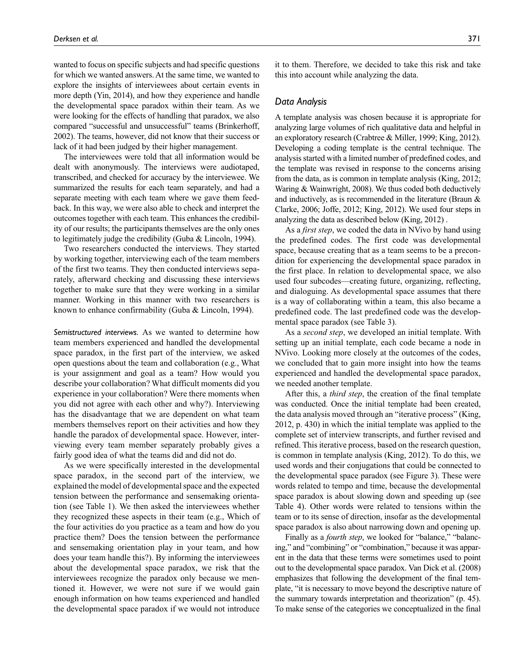wanted to focus on specific subjects and had specific questions for which we wanted answers. At the same time, we wanted to explore the insights of interviewees about certain events in more depth (Yin, 2014), and how they experience and handle the developmental space paradox within their team. As we were looking for the effects of handling that paradox, we also compared "successful and unsuccessful" teams (Brinkerhoff, 2002). The teams, however, did not know that their success or lack of it had been judged by their higher management.

The interviewees were told that all information would be dealt with anonymously. The interviews were audiotaped, transcribed, and checked for accuracy by the interviewee. We summarized the results for each team separately, and had a separate meeting with each team where we gave them feedback. In this way, we were also able to check and interpret the outcomes together with each team. This enhances the credibility of our results; the participants themselves are the only ones to legitimately judge the credibility (Guba & Lincoln, 1994).

Two researchers conducted the interviews. They started by working together, interviewing each of the team members of the first two teams. They then conducted interviews separately, afterward checking and discussing these interviews together to make sure that they were working in a similar manner. Working in this manner with two researchers is known to enhance confirmability (Guba & Lincoln, 1994).

*Semistructured interviews.* As we wanted to determine how team members experienced and handled the developmental space paradox, in the first part of the interview, we asked open questions about the team and collaboration (e.g., What is your assignment and goal as a team? How would you describe your collaboration? What difficult moments did you experience in your collaboration? Were there moments when you did not agree with each other and why?). Interviewing has the disadvantage that we are dependent on what team members themselves report on their activities and how they handle the paradox of developmental space. However, interviewing every team member separately probably gives a fairly good idea of what the teams did and did not do.

As we were specifically interested in the developmental space paradox, in the second part of the interview, we explained the model of developmental space and the expected tension between the performance and sensemaking orientation (see Table 1). We then asked the interviewees whether they recognized these aspects in their team (e.g., Which of the four activities do you practice as a team and how do you practice them? Does the tension between the performance and sensemaking orientation play in your team, and how does your team handle this?). By informing the interviewees about the developmental space paradox, we risk that the interviewees recognize the paradox only because we mentioned it. However, we were not sure if we would gain enough information on how teams experienced and handled the developmental space paradox if we would not introduce

it to them. Therefore, we decided to take this risk and take this into account while analyzing the data.

### *Data Analysis*

A template analysis was chosen because it is appropriate for analyzing large volumes of rich qualitative data and helpful in an exploratory research (Crabtree & Miller, 1999; King, 2012). Developing a coding template is the central technique. The analysis started with a limited number of predefined codes, and the template was revised in response to the concerns arising from the data, as is common in template analysis (King, 2012; Waring & Wainwright, 2008). We thus coded both deductively and inductively, as is recommended in the literature (Braun & Clarke, 2006; Joffe, 2012; King, 2012). We used four steps in analyzing the data as described below (King, 2012) .

As a *first step*, we coded the data in NVivo by hand using the predefined codes. The first code was developmental space, because creating that as a team seems to be a precondition for experiencing the developmental space paradox in the first place. In relation to developmental space, we also used four subcodes—creating future, organizing, reflecting, and dialoguing. As developmental space assumes that there is a way of collaborating within a team, this also became a predefined code. The last predefined code was the developmental space paradox (see Table 3).

As a *second step*, we developed an initial template. With setting up an initial template, each code became a node in NVivo. Looking more closely at the outcomes of the codes, we concluded that to gain more insight into how the teams experienced and handled the developmental space paradox, we needed another template.

After this, a *third step*, the creation of the final template was conducted. Once the initial template had been created, the data analysis moved through an "iterative process" (King, 2012, p. 430) in which the initial template was applied to the complete set of interview transcripts, and further revised and refined. This iterative process, based on the research question, is common in template analysis (King, 2012). To do this, we used words and their conjugations that could be connected to the developmental space paradox (see Figure 3). These were words related to tempo and time, because the developmental space paradox is about slowing down and speeding up (see Table 4). Other words were related to tensions within the team or to its sense of direction, insofar as the developmental space paradox is also about narrowing down and opening up.

Finally as a *fourth step*, we looked for "balance," "balancing," and "combining" or "combination," because it was apparent in the data that these terms were sometimes used to point out to the developmental space paradox. Van Dick et al. (2008) emphasizes that following the development of the final template, "it is necessary to move beyond the descriptive nature of the summary towards interpretation and theorization" (p. 45). To make sense of the categories we conceptualized in the final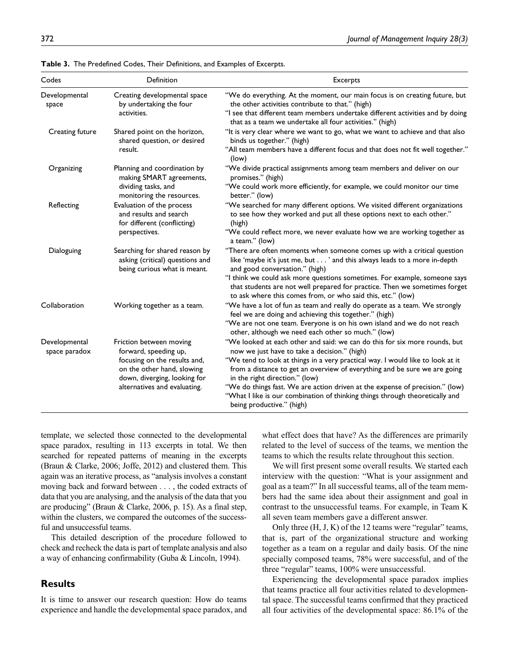| Codes                          | Definition                                                                                                                                                                     | Excerpts                                                                                                                                                                                                                                                                                                                                                                                                                                                                                                                 |
|--------------------------------|--------------------------------------------------------------------------------------------------------------------------------------------------------------------------------|--------------------------------------------------------------------------------------------------------------------------------------------------------------------------------------------------------------------------------------------------------------------------------------------------------------------------------------------------------------------------------------------------------------------------------------------------------------------------------------------------------------------------|
| Developmental<br>space         | Creating developmental space<br>by undertaking the four<br>activities.                                                                                                         | "We do everything. At the moment, our main focus is on creating future, but<br>the other activities contribute to that." (high)<br>"I see that different team members undertake different activities and by doing<br>that as a team we undertake all four activities." (high)                                                                                                                                                                                                                                            |
| Creating future                | Shared point on the horizon,<br>shared question, or desired<br>result.                                                                                                         | "It is very clear where we want to go, what we want to achieve and that also<br>binds us together." (high)<br>"All team members have a different focus and that does not fit well together."<br>(low)                                                                                                                                                                                                                                                                                                                    |
| Organizing                     | Planning and coordination by<br>making SMART agreements,<br>dividing tasks, and<br>monitoring the resources.                                                                   | "We divide practical assignments among team members and deliver on our<br>promises." (high)<br>"We could work more efficiently, for example, we could monitor our time<br>better." (low)                                                                                                                                                                                                                                                                                                                                 |
| Reflecting                     | Evaluation of the process<br>and results and search<br>for different (conflicting)<br>perspectives.                                                                            | "We searched for many different options. We visited different organizations<br>to see how they worked and put all these options next to each other."<br>(high)<br>"We could reflect more, we never evaluate how we are working together as                                                                                                                                                                                                                                                                               |
| Dialoguing                     | Searching for shared reason by<br>asking (critical) questions and<br>being curious what is meant.                                                                              | a team." (low)<br>"There are often moments when someone comes up with a critical question<br>like 'maybe it's just me, but ' and this always leads to a more in-depth<br>and good conversation." (high)<br>"I think we could ask more questions sometimes. For example, someone says<br>that students are not well prepared for practice. Then we sometimes forget<br>to ask where this comes from, or who said this, etc." (low)                                                                                        |
| Collaboration                  | Working together as a team.                                                                                                                                                    | "We have a lot of fun as team and really do operate as a team. We strongly<br>feel we are doing and achieving this together." (high)<br>"We are not one team. Everyone is on his own island and we do not reach<br>other, although we need each other so much." (low)                                                                                                                                                                                                                                                    |
| Developmental<br>space paradox | Friction between moving<br>forward, speeding up,<br>focusing on the results and,<br>on the other hand, slowing<br>down, diverging, looking for<br>alternatives and evaluating. | "We looked at each other and said: we can do this for six more rounds, but<br>now we just have to take a decision." (high)<br>"We tend to look at things in a very practical way. I would like to look at it<br>from a distance to get an overview of everything and be sure we are going<br>in the right direction." (low)<br>"We do things fast. We are action driven at the expense of precision." (low)<br>"What I like is our combination of thinking things through theoretically and<br>being productive." (high) |

**Table 3.** The Predefined Codes, Their Definitions, and Examples of Excerpts.

template, we selected those connected to the developmental space paradox, resulting in 113 excerpts in total. We then searched for repeated patterns of meaning in the excerpts (Braun & Clarke, 2006; Joffe, 2012) and clustered them. This again was an iterative process, as "analysis involves a constant moving back and forward between . . . , the coded extracts of data that you are analysing, and the analysis of the data that you are producing" (Braun & Clarke, 2006, p. 15). As a final step, within the clusters, we compared the outcomes of the successful and unsuccessful teams.

This detailed description of the procedure followed to check and recheck the data is part of template analysis and also a way of enhancing confirmability (Guba & Lincoln, 1994).

# **Results**

It is time to answer our research question: How do teams experience and handle the developmental space paradox, and what effect does that have? As the differences are primarily related to the level of success of the teams, we mention the teams to which the results relate throughout this section.

We will first present some overall results. We started each interview with the question: "What is your assignment and goal as a team?" In all successful teams, all of the team members had the same idea about their assignment and goal in contrast to the unsuccessful teams. For example, in Team K all seven team members gave a different answer.

Only three (H, J, K) of the 12 teams were "regular" teams, that is, part of the organizational structure and working together as a team on a regular and daily basis. Of the nine specially composed teams, 78% were successful, and of the three "regular" teams, 100% were unsuccessful.

Experiencing the developmental space paradox implies that teams practice all four activities related to developmental space. The successful teams confirmed that they practiced all four activities of the developmental space: 86.1% of the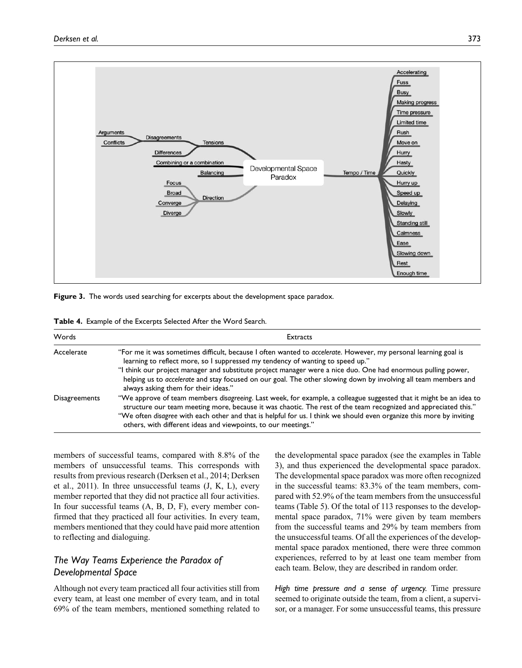

**Figure 3.** The words used searching for excerpts about the development space paradox.

| Words         | <b>Extracts</b>                                                                                                                                                                                                                                                                                                                                                                                                                                                              |  |  |
|---------------|------------------------------------------------------------------------------------------------------------------------------------------------------------------------------------------------------------------------------------------------------------------------------------------------------------------------------------------------------------------------------------------------------------------------------------------------------------------------------|--|--|
| Accelerate    | "For me it was sometimes difficult, because I often wanted to accelerate. However, my personal learning goal is<br>learning to reflect more, so I suppressed my tendency of wanting to speed up."<br>"I think our project manager and substitute project manager were a nice duo. One had enormous pulling power,<br>helping us to accelerate and stay focused on our goal. The other slowing down by involving all team members and<br>always asking them for their ideas." |  |  |
| Disagreements | "We approve of team members disagreeing. Last week, for example, a colleague suggested that it might be an idea to<br>structure our team meeting more, because it was chaotic. The rest of the team recognized and appreciated this."<br>"We often disagree with each other and that is helpful for us. I think we should even organize this more by inviting<br>others, with different ideas and viewpoints, to our meetings."                                              |  |  |

**Table 4.** Example of the Excerpts Selected After the Word Search.

members of successful teams, compared with 8.8% of the members of unsuccessful teams. This corresponds with results from previous research (Derksen et al., 2014; Derksen et al., 2011). In three unsuccessful teams (J, K, L), every member reported that they did not practice all four activities. In four successful teams (A, B, D, F), every member confirmed that they practiced all four activities. In every team, members mentioned that they could have paid more attention to reflecting and dialoguing.

# *The Way Teams Experience the Paradox of Developmental Space*

Although not every team practiced all four activities still from every team, at least one member of every team, and in total 69% of the team members, mentioned something related to the developmental space paradox (see the examples in Table 3), and thus experienced the developmental space paradox. The developmental space paradox was more often recognized in the successful teams: 83.3% of the team members, compared with 52.9% of the team members from the unsuccessful teams (Table 5). Of the total of 113 responses to the developmental space paradox, 71% were given by team members from the successful teams and 29% by team members from the unsuccessful teams. Of all the experiences of the developmental space paradox mentioned, there were three common experiences, referred to by at least one team member from each team. Below, they are described in random order.

*High time pressure and a sense of urgency.* Time pressure seemed to originate outside the team, from a client, a supervisor, or a manager. For some unsuccessful teams, this pressure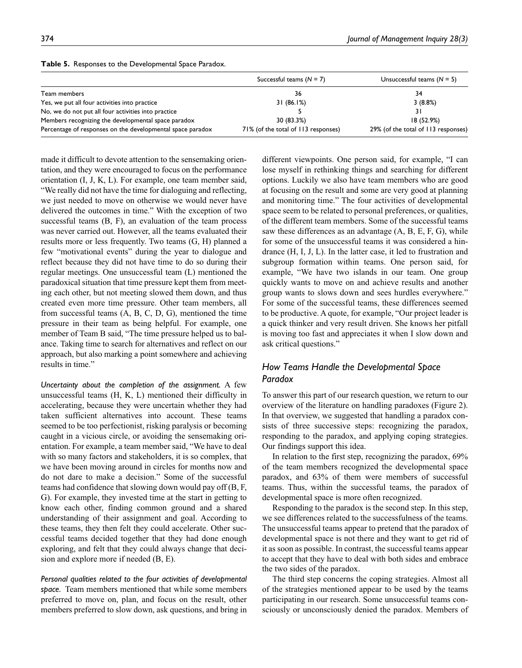|                                                            | Successful teams $(N = 7)$          | Unsuccessful teams $(N = 5)$        |
|------------------------------------------------------------|-------------------------------------|-------------------------------------|
| Team members                                               | 36                                  | 34                                  |
| Yes, we put all four activities into practice              | 31(86.1%)                           | 3(8.8%)                             |
| No, we do not put all four activities into practice        |                                     | 31                                  |
| Members recognizing the developmental space paradox        | 30 (83.3%)                          | 18(52.9%)                           |
| Percentage of responses on the developmental space paradox | 71% (of the total of 113 responses) | 29% (of the total of 113 responses) |

|  | Table 5. Responses to the Developmental Space Paradox. |  |  |  |  |  |
|--|--------------------------------------------------------|--|--|--|--|--|
|--|--------------------------------------------------------|--|--|--|--|--|

made it difficult to devote attention to the sensemaking orientation, and they were encouraged to focus on the performance orientation (I, J, K, L). For example, one team member said, "We really did not have the time for dialoguing and reflecting, we just needed to move on otherwise we would never have delivered the outcomes in time." With the exception of two successful teams (B, F), an evaluation of the team process was never carried out. However, all the teams evaluated their results more or less frequently. Two teams (G, H) planned a few "motivational events" during the year to dialogue and reflect because they did not have time to do so during their regular meetings. One unsuccessful team (L) mentioned the paradoxical situation that time pressure kept them from meeting each other, but not meeting slowed them down, and thus created even more time pressure. Other team members, all from successful teams (A, B, C, D, G), mentioned the time pressure in their team as being helpful. For example, one member of Team B said, "The time pressure helped us to balance. Taking time to search for alternatives and reflect on our approach, but also marking a point somewhere and achieving results in time."

*Uncertainty about the completion of the assignment.* A few unsuccessful teams (H, K, L) mentioned their difficulty in accelerating, because they were uncertain whether they had taken sufficient alternatives into account. These teams seemed to be too perfectionist, risking paralysis or becoming caught in a vicious circle, or avoiding the sensemaking orientation. For example, a team member said, "We have to deal with so many factors and stakeholders, it is so complex, that we have been moving around in circles for months now and do not dare to make a decision." Some of the successful teams had confidence that slowing down would pay off (B, F, G). For example, they invested time at the start in getting to know each other, finding common ground and a shared understanding of their assignment and goal. According to these teams, they then felt they could accelerate. Other successful teams decided together that they had done enough exploring, and felt that they could always change that decision and explore more if needed (B, E).

*Personal qualities related to the four activities of developmental space.* Team members mentioned that while some members preferred to move on, plan, and focus on the result, other members preferred to slow down, ask questions, and bring in

different viewpoints. One person said, for example, "I can lose myself in rethinking things and searching for different options. Luckily we also have team members who are good at focusing on the result and some are very good at planning and monitoring time." The four activities of developmental space seem to be related to personal preferences, or qualities, of the different team members. Some of the successful teams saw these differences as an advantage (A, B, E, F, G), while for some of the unsuccessful teams it was considered a hindrance (H, I, J, L). In the latter case, it led to frustration and subgroup formation within teams. One person said, for example, "We have two islands in our team. One group quickly wants to move on and achieve results and another group wants to slows down and sees hurdles everywhere." For some of the successful teams, these differences seemed to be productive. A quote, for example, "Our project leader is a quick thinker and very result driven. She knows her pitfall is moving too fast and appreciates it when I slow down and ask critical questions."

# *How Teams Handle the Developmental Space Paradox*

To answer this part of our research question, we return to our overview of the literature on handling paradoxes (Figure 2). In that overview, we suggested that handling a paradox consists of three successive steps: recognizing the paradox, responding to the paradox, and applying coping strategies. Our findings support this idea.

In relation to the first step, recognizing the paradox, 69% of the team members recognized the developmental space paradox, and 63% of them were members of successful teams. Thus, within the successful teams, the paradox of developmental space is more often recognized.

Responding to the paradox is the second step. In this step, we see differences related to the successfulness of the teams. The unsuccessful teams appear to pretend that the paradox of developmental space is not there and they want to get rid of it as soon as possible. In contrast, the successful teams appear to accept that they have to deal with both sides and embrace the two sides of the paradox.

The third step concerns the coping strategies. Almost all of the strategies mentioned appear to be used by the teams participating in our research. Some unsuccessful teams consciously or unconsciously denied the paradox. Members of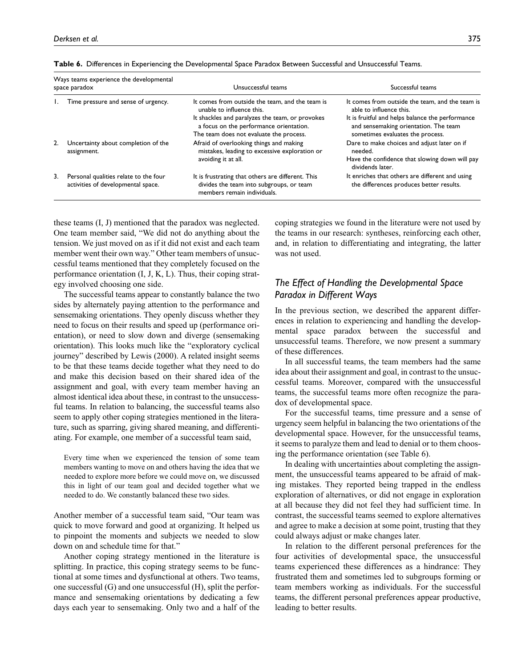| Ways teams experience the developmental<br>space paradox |                                                                             | Unsuccessful teams                                                                                                                    | Successful teams                                                                                                              |  |
|----------------------------------------------------------|-----------------------------------------------------------------------------|---------------------------------------------------------------------------------------------------------------------------------------|-------------------------------------------------------------------------------------------------------------------------------|--|
|                                                          | Time pressure and sense of urgency.                                         | It comes from outside the team, and the team is<br>unable to influence this.                                                          | It comes from outside the team, and the team is<br>able to influence this.                                                    |  |
|                                                          |                                                                             | It shackles and paralyzes the team, or provokes<br>a focus on the performance orientation.<br>The team does not evaluate the process. | It is fruitful and helps balance the performance<br>and sensemaking orientation. The team<br>sometimes evaluates the process. |  |
|                                                          | Uncertainty about completion of the<br>assignment.                          | Afraid of overlooking things and making<br>mistakes, leading to excessive exploration or                                              | Dare to make choices and adjust later on if<br>needed.                                                                        |  |
|                                                          |                                                                             | avoiding it at all.                                                                                                                   | Have the confidence that slowing down will pay<br>dividends later.                                                            |  |
| 3.                                                       | Personal qualities relate to the four<br>activities of developmental space. | It is frustrating that others are different. This<br>divides the team into subgroups, or team<br>members remain individuals.          | It enriches that others are different and using<br>the differences produces better results.                                   |  |

these teams (I, J) mentioned that the paradox was neglected. One team member said, "We did not do anything about the tension. We just moved on as if it did not exist and each team member went their own way." Other team members of unsuccessful teams mentioned that they completely focused on the performance orientation (I, J, K, L). Thus, their coping strategy involved choosing one side.

The successful teams appear to constantly balance the two sides by alternately paying attention to the performance and sensemaking orientations. They openly discuss whether they need to focus on their results and speed up (performance orientation), or need to slow down and diverge (sensemaking orientation). This looks much like the "exploratory cyclical journey" described by Lewis (2000). A related insight seems to be that these teams decide together what they need to do and make this decision based on their shared idea of the assignment and goal, with every team member having an almost identical idea about these, in contrast to the unsuccessful teams. In relation to balancing, the successful teams also seem to apply other coping strategies mentioned in the literature, such as sparring, giving shared meaning, and differentiating. For example, one member of a successful team said,

Every time when we experienced the tension of some team members wanting to move on and others having the idea that we needed to explore more before we could move on, we discussed this in light of our team goal and decided together what we needed to do. We constantly balanced these two sides.

Another member of a successful team said, "Our team was quick to move forward and good at organizing. It helped us to pinpoint the moments and subjects we needed to slow down on and schedule time for that."

Another coping strategy mentioned in the literature is splitting. In practice, this coping strategy seems to be functional at some times and dysfunctional at others. Two teams, one successful (G) and one unsuccessful (H), split the performance and sensemaking orientations by dedicating a few days each year to sensemaking. Only two and a half of the

coping strategies we found in the literature were not used by the teams in our research: syntheses, reinforcing each other, and, in relation to differentiating and integrating, the latter was not used.

# *The Effect of Handling the Developmental Space Paradox in Different Ways*

In the previous section, we described the apparent differences in relation to experiencing and handling the developmental space paradox between the successful and unsuccessful teams. Therefore, we now present a summary of these differences.

In all successful teams, the team members had the same idea about their assignment and goal, in contrast to the unsuccessful teams. Moreover, compared with the unsuccessful teams, the successful teams more often recognize the paradox of developmental space.

For the successful teams, time pressure and a sense of urgency seem helpful in balancing the two orientations of the developmental space. However, for the unsuccessful teams, it seems to paralyze them and lead to denial or to them choosing the performance orientation (see Table 6).

In dealing with uncertainties about completing the assignment, the unsuccessful teams appeared to be afraid of making mistakes. They reported being trapped in the endless exploration of alternatives, or did not engage in exploration at all because they did not feel they had sufficient time. In contrast, the successful teams seemed to explore alternatives and agree to make a decision at some point, trusting that they could always adjust or make changes later.

In relation to the different personal preferences for the four activities of developmental space, the unsuccessful teams experienced these differences as a hindrance: They frustrated them and sometimes led to subgroups forming or team members working as individuals. For the successful teams, the different personal preferences appear productive, leading to better results.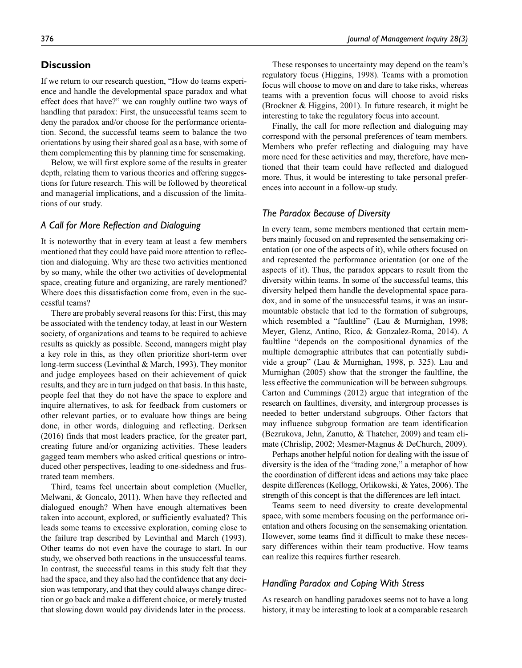# **Discussion**

If we return to our research question, "How do teams experience and handle the developmental space paradox and what effect does that have?" we can roughly outline two ways of handling that paradox: First, the unsuccessful teams seem to deny the paradox and/or choose for the performance orientation. Second, the successful teams seem to balance the two orientations by using their shared goal as a base, with some of them complementing this by planning time for sensemaking.

Below, we will first explore some of the results in greater depth, relating them to various theories and offering suggestions for future research. This will be followed by theoretical and managerial implications, and a discussion of the limitations of our study.

### *A Call for More Reflection and Dialoguing*

It is noteworthy that in every team at least a few members mentioned that they could have paid more attention to reflection and dialoguing. Why are these two activities mentioned by so many, while the other two activities of developmental space, creating future and organizing, are rarely mentioned? Where does this dissatisfaction come from, even in the successful teams?

There are probably several reasons for this: First, this may be associated with the tendency today, at least in our Western society, of organizations and teams to be required to achieve results as quickly as possible. Second, managers might play a key role in this, as they often prioritize short-term over long-term success (Levinthal & March, 1993). They monitor and judge employees based on their achievement of quick results, and they are in turn judged on that basis. In this haste, people feel that they do not have the space to explore and inquire alternatives, to ask for feedback from customers or other relevant parties, or to evaluate how things are being done, in other words, dialoguing and reflecting. Derksen (2016) finds that most leaders practice, for the greater part, creating future and/or organizing activities. These leaders gagged team members who asked critical questions or introduced other perspectives, leading to one-sidedness and frustrated team members.

Third, teams feel uncertain about completion (Mueller, Melwani, & Goncalo, 2011). When have they reflected and dialogued enough? When have enough alternatives been taken into account, explored, or sufficiently evaluated? This leads some teams to excessive exploration, coming close to the failure trap described by Levinthal and March (1993). Other teams do not even have the courage to start. In our study, we observed both reactions in the unsuccessful teams. In contrast, the successful teams in this study felt that they had the space, and they also had the confidence that any decision was temporary, and that they could always change direction or go back and make a different choice, or merely trusted that slowing down would pay dividends later in the process.

interesting to take the regulatory focus into account. Finally, the call for more reflection and dialoguing may correspond with the personal preferences of team members. Members who prefer reflecting and dialoguing may have more need for these activities and may, therefore, have mentioned that their team could have reflected and dialogued more. Thus, it would be interesting to take personal preferences into account in a follow-up study.

(Brockner & Higgins, 2001). In future research, it might be

### *The Paradox Because of Diversity*

In every team, some members mentioned that certain members mainly focused on and represented the sensemaking orientation (or one of the aspects of it), while others focused on and represented the performance orientation (or one of the aspects of it). Thus, the paradox appears to result from the diversity within teams. In some of the successful teams, this diversity helped them handle the developmental space paradox, and in some of the unsuccessful teams, it was an insurmountable obstacle that led to the formation of subgroups, which resembled a "faultline" (Lau & Murnighan, 1998; Meyer, Glenz, Antino, Rico, & Gonzalez-Roma, 2014). A faultline "depends on the compositional dynamics of the multiple demographic attributes that can potentially subdivide a group" (Lau & Murnighan, 1998, p. 325). Lau and Murnighan (2005) show that the stronger the faultline, the less effective the communication will be between subgroups. Carton and Cummings (2012) argue that integration of the research on faultlines, diversity, and intergroup processes is needed to better understand subgroups. Other factors that may influence subgroup formation are team identification (Bezrukova, Jehn, Zanutto, & Thatcher, 2009) and team climate (Chrislip, 2002; Mesmer-Magnus & DeChurch, 2009).

Perhaps another helpful notion for dealing with the issue of diversity is the idea of the "trading zone," a metaphor of how the coordination of different ideas and actions may take place despite differences (Kellogg, Orlikowski, & Yates, 2006). The strength of this concept is that the differences are left intact.

Teams seem to need diversity to create developmental space, with some members focusing on the performance orientation and others focusing on the sensemaking orientation. However, some teams find it difficult to make these necessary differences within their team productive. How teams can realize this requires further research.

# *Handling Paradox and Coping With Stress*

As research on handling paradoxes seems not to have a long history, it may be interesting to look at a comparable research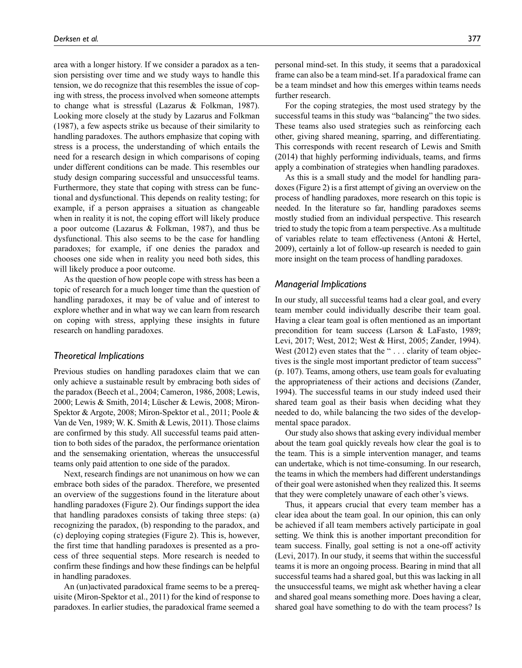area with a longer history. If we consider a paradox as a tension persisting over time and we study ways to handle this tension, we do recognize that this resembles the issue of coping with stress, the process involved when someone attempts to change what is stressful (Lazarus & Folkman, 1987). Looking more closely at the study by Lazarus and Folkman (1987), a few aspects strike us because of their similarity to handling paradoxes. The authors emphasize that coping with stress is a process, the understanding of which entails the need for a research design in which comparisons of coping under different conditions can be made. This resembles our study design comparing successful and unsuccessful teams. Furthermore, they state that coping with stress can be functional and dysfunctional. This depends on reality testing; for example, if a person appraises a situation as changeable when in reality it is not, the coping effort will likely produce a poor outcome (Lazarus & Folkman, 1987), and thus be dysfunctional. This also seems to be the case for handling paradoxes; for example, if one denies the paradox and chooses one side when in reality you need both sides, this will likely produce a poor outcome.

As the question of how people cope with stress has been a topic of research for a much longer time than the question of handling paradoxes, it may be of value and of interest to explore whether and in what way we can learn from research on coping with stress, applying these insights in future research on handling paradoxes.

#### *Theoretical Implications*

Previous studies on handling paradoxes claim that we can only achieve a sustainable result by embracing both sides of the paradox (Beech et al., 2004; Cameron, 1986, 2008; Lewis, 2000; Lewis & Smith, 2014; Lüscher & Lewis, 2008; Miron-Spektor & Argote, 2008; Miron-Spektor et al., 2011; Poole & Van de Ven, 1989; W. K. Smith & Lewis, 2011). Those claims are confirmed by this study. All successful teams paid attention to both sides of the paradox, the performance orientation and the sensemaking orientation, whereas the unsuccessful teams only paid attention to one side of the paradox.

Next, research findings are not unanimous on how we can embrace both sides of the paradox. Therefore, we presented an overview of the suggestions found in the literature about handling paradoxes (Figure 2). Our findings support the idea that handling paradoxes consists of taking three steps: (a) recognizing the paradox, (b) responding to the paradox, and (c) deploying coping strategies (Figure 2). This is, however, the first time that handling paradoxes is presented as a process of three sequential steps. More research is needed to confirm these findings and how these findings can be helpful in handling paradoxes.

An (un)activated paradoxical frame seems to be a prerequisite (Miron-Spektor et al., 2011) for the kind of response to paradoxes. In earlier studies, the paradoxical frame seemed a

personal mind-set. In this study, it seems that a paradoxical frame can also be a team mind-set. If a paradoxical frame can be a team mindset and how this emerges within teams needs further research.

For the coping strategies, the most used strategy by the successful teams in this study was "balancing" the two sides. These teams also used strategies such as reinforcing each other, giving shared meaning, sparring, and differentiating. This corresponds with recent research of Lewis and Smith (2014) that highly performing individuals, teams, and firms apply a combination of strategies when handling paradoxes.

As this is a small study and the model for handling paradoxes (Figure 2) is a first attempt of giving an overview on the process of handling paradoxes, more research on this topic is needed. In the literature so far, handling paradoxes seems mostly studied from an individual perspective. This research tried to study the topic from a team perspective. As a multitude of variables relate to team effectiveness (Antoni & Hertel, 2009), certainly a lot of follow-up research is needed to gain more insight on the team process of handling paradoxes.

#### *Managerial Implications*

In our study, all successful teams had a clear goal, and every team member could individually describe their team goal. Having a clear team goal is often mentioned as an important precondition for team success (Larson & LaFasto, 1989; Levi, 2017; West, 2012; West & Hirst, 2005; Zander, 1994). West (2012) even states that the "... clarity of team objectives is the single most important predictor of team success" (p. 107). Teams, among others, use team goals for evaluating the appropriateness of their actions and decisions (Zander, 1994). The successful teams in our study indeed used their shared team goal as their basis when deciding what they needed to do, while balancing the two sides of the developmental space paradox.

Our study also shows that asking every individual member about the team goal quickly reveals how clear the goal is to the team. This is a simple intervention manager, and teams can undertake, which is not time-consuming. In our research, the teams in which the members had different understandings of their goal were astonished when they realized this. It seems that they were completely unaware of each other's views.

Thus, it appears crucial that every team member has a clear idea about the team goal. In our opinion, this can only be achieved if all team members actively participate in goal setting. We think this is another important precondition for team success. Finally, goal setting is not a one-off activity (Levi, 2017). In our study, it seems that within the successful teams it is more an ongoing process. Bearing in mind that all successful teams had a shared goal, but this was lacking in all the unsuccessful teams, we might ask whether having a clear and shared goal means something more. Does having a clear, shared goal have something to do with the team process? Is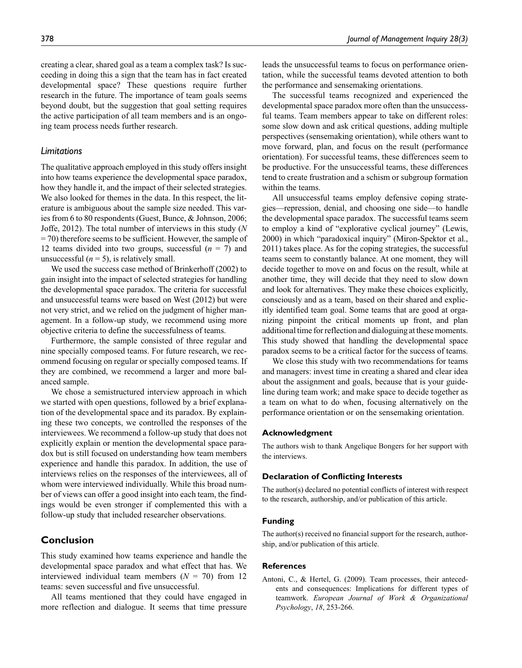creating a clear, shared goal as a team a complex task? Is succeeding in doing this a sign that the team has in fact created developmental space? These questions require further research in the future. The importance of team goals seems beyond doubt, but the suggestion that goal setting requires the active participation of all team members and is an ongoing team process needs further research.

#### *Limitations*

The qualitative approach employed in this study offers insight into how teams experience the developmental space paradox, how they handle it, and the impact of their selected strategies. We also looked for themes in the data. In this respect, the literature is ambiguous about the sample size needed. This varies from 6 to 80 respondents (Guest, Bunce, & Johnson, 2006; Joffe, 2012). The total number of interviews in this study (*N* = 70) therefore seems to be sufficient. However, the sample of 12 teams divided into two groups, successful  $(n = 7)$  and unsuccessful  $(n = 5)$ , is relatively small.

We used the success case method of Brinkerhoff (2002) to gain insight into the impact of selected strategies for handling the developmental space paradox. The criteria for successful and unsuccessful teams were based on West (2012) but were not very strict, and we relied on the judgment of higher management. In a follow-up study, we recommend using more objective criteria to define the successfulness of teams.

Furthermore, the sample consisted of three regular and nine specially composed teams. For future research, we recommend focusing on regular or specially composed teams. If they are combined, we recommend a larger and more balanced sample.

We chose a semistructured interview approach in which we started with open questions, followed by a brief explanation of the developmental space and its paradox. By explaining these two concepts, we controlled the responses of the interviewees. We recommend a follow-up study that does not explicitly explain or mention the developmental space paradox but is still focused on understanding how team members experience and handle this paradox. In addition, the use of interviews relies on the responses of the interviewees, all of whom were interviewed individually. While this broad number of views can offer a good insight into each team, the findings would be even stronger if complemented this with a follow-up study that included researcher observations.

# **Conclusion**

This study examined how teams experience and handle the developmental space paradox and what effect that has. We interviewed individual team members  $(N = 70)$  from 12 teams: seven successful and five unsuccessful.

All teams mentioned that they could have engaged in more reflection and dialogue. It seems that time pressure

leads the unsuccessful teams to focus on performance orientation, while the successful teams devoted attention to both the performance and sensemaking orientations.

The successful teams recognized and experienced the developmental space paradox more often than the unsuccessful teams. Team members appear to take on different roles: some slow down and ask critical questions, adding multiple perspectives (sensemaking orientation), while others want to move forward, plan, and focus on the result (performance orientation). For successful teams, these differences seem to be productive. For the unsuccessful teams, these differences tend to create frustration and a schism or subgroup formation within the teams.

All unsuccessful teams employ defensive coping strategies—repression, denial, and choosing one side—to handle the developmental space paradox. The successful teams seem to employ a kind of "explorative cyclical journey" (Lewis, 2000) in which "paradoxical inquiry" (Miron-Spektor et al., 2011) takes place. As for the coping strategies, the successful teams seem to constantly balance. At one moment, they will decide together to move on and focus on the result, while at another time, they will decide that they need to slow down and look for alternatives. They make these choices explicitly, consciously and as a team, based on their shared and explicitly identified team goal. Some teams that are good at organizing pinpoint the critical moments up front, and plan additional time for reflection and dialoguing at these moments. This study showed that handling the developmental space paradox seems to be a critical factor for the success of teams.

We close this study with two recommendations for teams and managers: invest time in creating a shared and clear idea about the assignment and goals, because that is your guideline during team work; and make space to decide together as a team on what to do when, focusing alternatively on the performance orientation or on the sensemaking orientation.

#### **Acknowledgment**

The authors wish to thank Angelique Bongers for her support with the interviews.

### **Declaration of Conflicting Interests**

The author(s) declared no potential conflicts of interest with respect to the research, authorship, and/or publication of this article.

#### **Funding**

The author(s) received no financial support for the research, authorship, and/or publication of this article.

### **References**

Antoni, C., & Hertel, G. (2009). Team processes, their antecedents and consequences: Implications for different types of teamwork. *European Journal of Work & Organizational Psychology*, *18*, 253-266.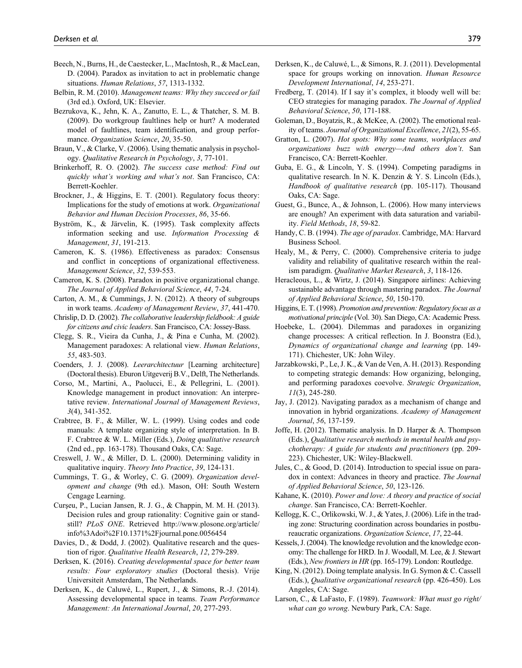- Beech, N., Burns, H., de Caestecker, L., MacIntosh, R., & MacLean, D. (2004). Paradox as invitation to act in problematic change situations. *Human Relations*, *57*, 1313-1332.
- Belbin, R. M. (2010). *Management teams: Why they succeed or fail* (3rd ed.). Oxford, UK: Elsevier.
- Bezrukova, K., Jehn, K. A., Zanutto, E. L., & Thatcher, S. M. B. (2009). Do workgroup faultlines help or hurt? A moderated model of faultlines, team identification, and group performance. *Organization Science*, *20*, 35-50.
- Braun, V., & Clarke, V. (2006). Using thematic analysis in psychology. *Qualitative Research in Psychology*, *3*, 77-101.
- Brinkerhoff, R. O. (2002). *The success case method: Find out quickly what's working and what's not*. San Francisco, CA: Berrett-Koehler.
- Brockner, J., & Higgins, E. T. (2001). Regulatory focus theory: Implications for the study of emotions at work. *Organizational Behavior and Human Decision Processes*, *86*, 35-66.
- Byström, K., & Järvelin, K. (1995). Task complexity affects information seeking and use. *Information Processing & Management*, *31*, 191-213.
- Cameron, K. S. (1986). Effectiveness as paradox: Consensus and conflict in conceptions of organizational effectiveness. *Management Science*, *32*, 539-553.
- Cameron, K. S. (2008). Paradox in positive organizational change. *The Journal of Applied Behavioral Science*, *44*, 7-24.
- Carton, A. M., & Cummings, J. N. (2012). A theory of subgroups in work teams. *Academy of Management Review*, *37*, 441-470.
- Chrislip, D. D. (2002). *The collaborative leadership fieldbook: A guide for citizens and civic leaders*. San Francisco, CA: Jossey-Bass.
- Clegg, S. R., Vieira da Cunha, J., & Pina e Cunha, M. (2002). Management paradoxes: A relational view. *Human Relations*, *55*, 483-503.
- Coenders, J. J. (2008). *Leerarchitectuur* [Learning architecture] (Doctoral thesis). Eburon Uitgeverij B.V., Delft, The Netherlands.
- Corso, M., Martini, A., Paolucci, E., & Pellegrini, L. (2001). Knowledge management in product innovation: An interpretative review. *International Journal of Management Reviews*, *3*(4), 341-352.
- Crabtree, B. F., & Miller, W. L. (1999). Using codes and code manuals: A template organizing style of interpretation. In B. F. Crabtree & W. L. Miller (Eds.), *Doing qualitative research* (2nd ed., pp. 163-178). Thousand Oaks, CA: Sage.
- Creswell, J. W., & Miller, D. L. (2000). Determining validity in qualitative inquiry. *Theory Into Practice*, *39*, 124-131.
- Cummings, T. G., & Worley, C. G. (2009). *Organization development and change* (9th ed.). Mason, OH: South Western Cengage Learning.
- Curşeu, P., Lucian Jansen, R. J. G., & Chappin, M. M. H. (2013). Decision rules and group rationality: Cognitive gain or standstill? *PLoS ONE*. Retrieved [http://www.plosone.org/article/](http://www.plosone.org/article/info%3Adoi%2F10.1371%2Fjournal.pone.0056454) [info%3Adoi%2F10.1371%2Fjournal.pone.0056454](http://www.plosone.org/article/info%3Adoi%2F10.1371%2Fjournal.pone.0056454)
- Davies, D., & Dodd, J. (2002). Qualitative research and the question of rigor. *Qualitative Health Research*, *12*, 279-289.
- Derksen, K. (2016). *Creating developmental space for better team results: Four exploratory studies* (Doctoral thesis). Vrije Universiteit Amsterdam, The Netherlands.
- Derksen, K., de Caluwé, L., Rupert, J., & Simons, R.-J. (2014). Assessing developmental space in teams. *Team Performance Management: An International Journal*, *20*, 277-293.
- Derksen, K., de Caluwé, L., & Simons, R. J. (2011). Developmental space for groups working on innovation. *Human Resource Development International*, *14*, 253-271.
- Fredberg, T. (2014). If I say it's complex, it bloody well will be: CEO strategies for managing paradox. *The Journal of Applied Behavioral Science*, *50*, 171-188.
- Goleman, D., Boyatzis, R., & McKee, A. (2002). The emotional reality of teams. *Journal of Organizational Excellence*, *21*(2), 55-65.
- Gratton, L. (2007). *Hot spots: Why some teams, workplaces and organizations buzz with energy—And others don't*. San Francisco, CA: Berrett-Koehler.
- Guba, E. G., & Lincoln, Y. S. (1994). Competing paradigms in qualitative research. In N. K. Denzin & Y. S. Lincoln (Eds.), *Handbook of qualitative research* (pp. 105-117). Thousand Oaks, CA: Sage.
- Guest, G., Bunce, A., & Johnson, L. (2006). How many interviews are enough? An experiment with data saturation and variability. *Field Methods*, *18*, 59-82.
- Handy, C. B. (1994). *The age of paradox*. Cambridge, MA: Harvard Business School.
- Healy, M., & Perry, C. (2000). Comprehensive criteria to judge validity and reliability of qualitative research within the realism paradigm. *Qualitative Market Research*, *3*, 118-126.
- Heracleous, L., & Wirtz, J. (2014). Singapore airlines: Achieving sustainable advantage through mastering paradox. *The Journal of Applied Behavioral Science*, *50*, 150-170.
- Higgins, E. T. (1998). *Promotion and prevention: Regulatory focus as a motivational principle* (Vol. 30). San Diego, CA: Academic Press.
- Hoebeke, L. (2004). Dilemmas and paradoxes in organizing change processes: A critical reflection. In J. Boonstra (Ed.), *Dynamics of organizational change and learning* (pp. 149- 171). Chichester, UK: John Wiley.
- Jarzabkowski, P., Le, J. K., & Van de Ven, A. H. (2013). Responding to competing strategic demands: How organizing, belonging, and performing paradoxes coevolve. *Strategic Organization*, *11*(3), 245-280.
- Jay, J. (2012). Navigating paradox as a mechanism of change and innovation in hybrid organizations. *Academy of Management Journal*, *56*, 137-159.
- Joffe, H. (2012). Thematic analysis. In D. Harper & A. Thompson (Eds.), *Qualitative research methods in mental health and psychotherapy: A guide for students and practitioners* (pp. 209- 223). Chichester, UK: Wiley-Blackwell.
- Jules, C., & Good, D. (2014). Introduction to special issue on paradox in context: Advances in theory and practice. *The Journal of Applied Behavioral Science*, *50*, 123-126.
- Kahane, K. (2010). *Power and love: A theory and practice of social change*. San Francisco, CA: Berrett-Koehler.
- Kellogg, K. C., Orlikowski, W. J., & Yates, J. (2006). Life in the trading zone: Structuring coordination across boundaries in postbureaucratic organizations. *Organization Science*, *17*, 22-44.
- Kessels, J. (2004). The knowledge revolution and the knowledge economy: The challenge for HRD. In J. Woodall, M. Lee, & J. Stewart (Eds.), *New frontiers in HR* (pp. 165-179). London: Routledge.
- King, N. (2012). Doing template analysis. In G. Symon & C. Cassell (Eds.), *Qualitative organizational research* (pp. 426-450). Los Angeles, CA: Sage.
- Larson, C., & LaFasto, F. (1989). *Teamwork: What must go right/ what can go wrong*. Newbury Park, CA: Sage.